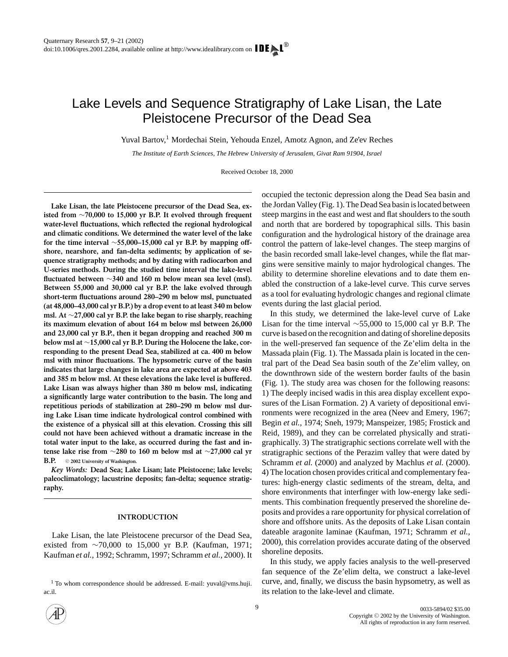# Lake Levels and Sequence Stratigraphy of Lake Lisan, the Late Pleistocene Precursor of the Dead Sea

Yuval Bartov,<sup>1</sup> Mordechai Stein, Yehouda Enzel, Amotz Agnon, and Ze'ev Reches

*The Institute of Earth Sciences, The Hebrew University of Jerusalem, Givat Ram 91904, Israel*

Received October 18, 2000

**Lake Lisan, the late Pleistocene precursor of the Dead Sea, existed from** ∼**70,000 to 15,000 yr B.P. It evolved through frequent water-level fluctuations, which reflected the regional hydrological and climatic conditions. We determined the water level of the lake for the time interval** ∼**55,000–15,000 cal yr B.P. by mapping offshore, nearshore, and fan-delta sediments; by application of sequence stratigraphy methods; and by dating with radiocarbon and U-series methods. During the studied time interval the lake-level fluctuated between** ∼**340 and 160 m below mean sea level (msl). Between 55,000 and 30,000 cal yr B.P. the lake evolved through short-term fluctuations around 280–290 m below msl, punctuated (at 48,000–43,000 cal yr B.P.) by a drop event to at least 340 m below msl. At** ∼**27,000 cal yr B.P. the lake began to rise sharply, reaching its maximum elevation of about 164 m below msl between 26,000 and 23,000 cal yr B.P., then it began dropping and reached 300 m below msl at** ∼**15,000 cal yr B.P. During the Holocene the lake, corresponding to the present Dead Sea, stabilized at ca. 400 m below msl with minor fluctuations. The hypsometric curve of the basin indicates that large changes in lake area are expected at above 403 and 385 m below msl. At these elevations the lake level is buffered. Lake Lisan was always higher than 380 m below msl, indicating a significantly large water contribution to the basin. The long and repetitious periods of stabilization at 280–290 m below msl during Lake Lisan time indicate hydrological control combined with the existence of a physical sill at this elevation. Crossing this sill could not have been achieved without a dramatic increase in the total water input to the lake, as occurred during the fast and intense lake rise from** ∼**280 to 160 m below msl at** ∼**27,000 cal yr**  $\odot$  2002 University of Washington.

*Key Words:* **Dead Sea; Lake Lisan; late Pleistocene; lake levels; paleoclimatology; lacustrine deposits; fan-delta; sequence stratigraphy.**

## **INTRODUCTION**

Lake Lisan, the late Pleistocene precursor of the Dead Sea, existed from  $\sim$ 70,000 to 15,000 yr B.P. (Kaufman, 1971; Kaufman *et al.*, 1992; Schramm, 1997; Schramm *et al.*, 2000). It occupied the tectonic depression along the Dead Sea basin and the Jordan Valley (Fig. 1). The Dead Sea basin is located between steep margins in the east and west and flat shoulders to the south and north that are bordered by topographical sills. This basin configuration and the hydrological history of the drainage area control the pattern of lake-level changes. The steep margins of the basin recorded small lake-level changes, while the flat margins were sensitive mainly to major hydrological changes. The ability to determine shoreline elevations and to date them enabled the construction of a lake-level curve. This curve serves as a tool for evaluating hydrologic changes and regional climate events during the last glacial period.

In this study, we determined the lake-level curve of Lake Lisan for the time interval ∼55,000 to 15,000 cal yr B.P. The curve is based on the recognition and dating of shoreline deposits in the well-preserved fan sequence of the Ze'elim delta in the Massada plain (Fig. 1). The Massada plain is located in the central part of the Dead Sea basin south of the Ze'elim valley, on the downthrown side of the western border faults of the basin (Fig. 1). The study area was chosen for the following reasons: 1) The deeply incised wadis in this area display excellent exposures of the Lisan Formation. 2) A variety of depositional environments were recognized in the area (Neev and Emery, 1967; Begin *et al.*, 1974; Sneh, 1979; Manspeizer, 1985; Frostick and Reid, 1989), and they can be correlated physically and stratigraphically. 3) The stratigraphic sections correlate well with the stratigraphic sections of the Perazim valley that were dated by Schramm *et al.* (2000) and analyzed by Machlus *et al.* (2000). 4) The location chosen provides critical and complementary features: high-energy clastic sediments of the stream, delta, and shore environments that interfinger with low-energy lake sediments. This combination frequently preserved the shoreline deposits and provides a rare opportunity for physical correlation of shore and offshore units. As the deposits of Lake Lisan contain dateable aragonite laminae (Kaufman, 1971; Schramm *et al.*, 2000), this correlation provides accurate dating of the observed shoreline deposits.

In this study, we apply facies analysis to the well-preserved fan sequence of the Ze'elim delta, we construct a lake-level curve, and, finally, we discuss the basin hypsometry, as well as its relation to the lake-level and climate.



<sup>&</sup>lt;sup>1</sup> To whom correspondence should be addressed. E-mail: yuval@vms.huji. ac.il.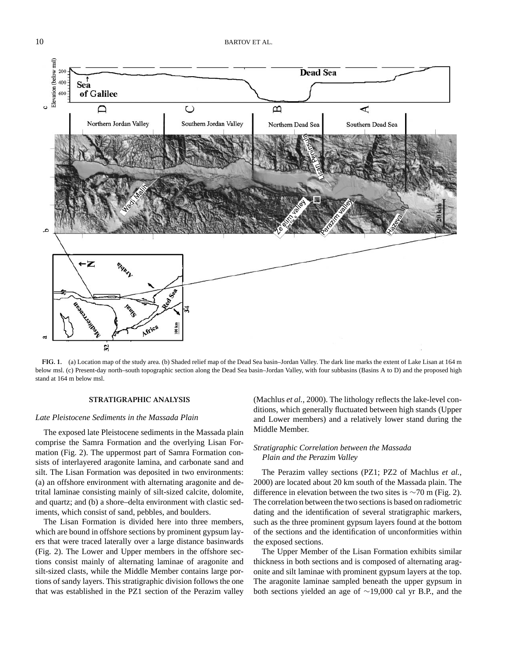

**FIG. 1.** (a) Location map of the study area. (b) Shaded relief map of the Dead Sea basin–Jordan Valley. The dark line marks the extent of Lake Lisan at 164 m below msl. (c) Present-day north–south topographic section along the Dead Sea basin–Jordan Valley, with four subbasins (Basins A to D) and the proposed high stand at 164 m below msl.

# **STRATIGRAPHIC ANALYSIS**

## *Late Pleistocene Sediments in the Massada Plain*

The exposed late Pleistocene sediments in the Massada plain comprise the Samra Formation and the overlying Lisan Formation (Fig. 2). The uppermost part of Samra Formation consists of interlayered aragonite lamina, and carbonate sand and silt. The Lisan Formation was deposited in two environments: (a) an offshore environment with alternating aragonite and detrital laminae consisting mainly of silt-sized calcite, dolomite, and quartz; and (b) a shore–delta environment with clastic sediments, which consist of sand, pebbles, and boulders.

The Lisan Formation is divided here into three members, which are bound in offshore sections by prominent gypsum layers that were traced laterally over a large distance basinwards (Fig. 2). The Lower and Upper members in the offshore sections consist mainly of alternating laminae of aragonite and silt-sized clasts, while the Middle Member contains large portions of sandy layers. This stratigraphic division follows the one that was established in the PZ1 section of the Perazim valley

(Machlus *et al.*, 2000). The lithology reflects the lake-level conditions, which generally fluctuated between high stands (Upper and Lower members) and a relatively lower stand during the Middle Member.

# *Stratigraphic Correlation between the Massada Plain and the Perazim Valley*

The Perazim valley sections (PZ1; PZ2 of Machlus *et al.*, 2000) are located about 20 km south of the Massada plain. The difference in elevation between the two sites is  $\sim$ 70 m (Fig. 2). The correlation between the two sections is based on radiometric dating and the identification of several stratigraphic markers, such as the three prominent gypsum layers found at the bottom of the sections and the identification of unconformities within the exposed sections.

The Upper Member of the Lisan Formation exhibits similar thickness in both sections and is composed of alternating aragonite and silt laminae with prominent gypsum layers at the top. The aragonite laminae sampled beneath the upper gypsum in both sections yielded an age of ∼19,000 cal yr B.P., and the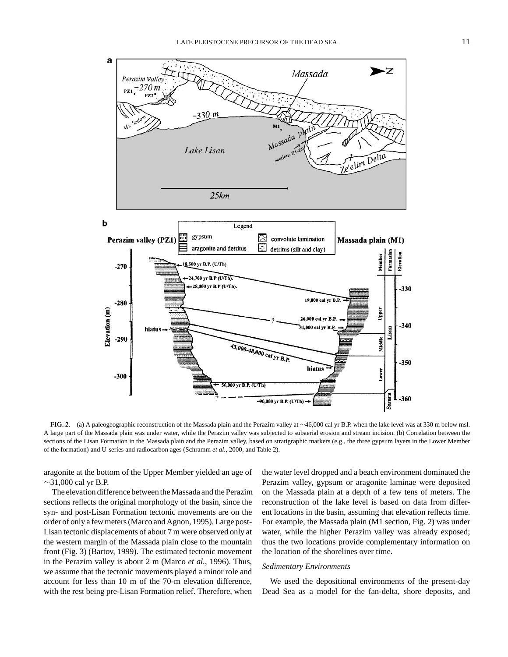

**FIG. 2.** (a) A paleogeographic reconstruction of the Massada plain and the Perazim valley at ∼46,000 cal yr B.P. when the lake level was at 330 m below msl. A large part of the Massada plain was under water, while the Perazim valley was subjected to subaerial erosion and stream incision. (b) Correlation between the sections of the Lisan Formation in the Massada plain and the Perazim valley, based on stratigraphic markers (e.g., the three gypsum layers in the Lower Member of the formation) and U-series and radiocarbon ages (Schramm *et al.*, 2000, and Table 2).

aragonite at the bottom of the Upper Member yielded an age of ∼31,000 cal yr B.P.

The elevation difference between the Massada and the Perazim sections reflects the original morphology of the basin, since the syn- and post-Lisan Formation tectonic movements are on the order of only a few meters (Marco and Agnon, 1995). Large post-Lisan tectonic displacements of about 7 m were observed only at the western margin of the Massada plain close to the mountain front (Fig. 3) (Bartov, 1999). The estimated tectonic movement in the Perazim valley is about 2 m (Marco *et al.*, 1996). Thus, we assume that the tectonic movements played a minor role and account for less than 10 m of the 70-m elevation difference, with the rest being pre-Lisan Formation relief. Therefore, when

the water level dropped and a beach environment dominated the Perazim valley, gypsum or aragonite laminae were deposited on the Massada plain at a depth of a few tens of meters. The reconstruction of the lake level is based on data from different locations in the basin, assuming that elevation reflects time. For example, the Massada plain (M1 section, Fig. 2) was under water, while the higher Perazim valley was already exposed; thus the two locations provide complementary information on the location of the shorelines over time.

## *Sedimentary Environments*

We used the depositional environments of the present-day Dead Sea as a model for the fan-delta, shore deposits, and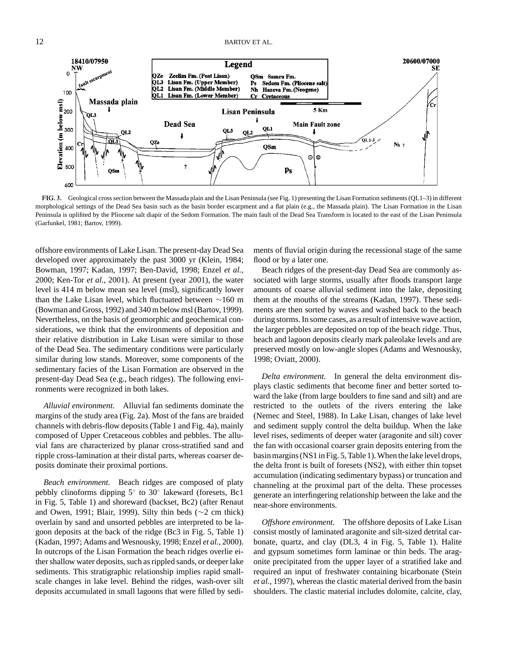

**FIG. 3.** Geological cross section between the Massada plain and the Lisan Peninsula (see Fig. 1) presenting the Lisan Formation sediments (QL1–3) in different morphological settings of the Dead Sea basin such as the basin border escarpment and a flat plain (e.g., the Massada plain). The Lisan Formation in the Lisan Peninsula is uplifited by the Pliocene salt diapir of the Sedom Formation. The main fault of the Dead Sea Transform is located to the east of the Lisan Peninsula (Garfunkel, 1981; Bartov, 1999).

offshore environments of Lake Lisan. The present-day Dead Sea developed over approximately the past 3000 yr (Klein, 1984; Bowman, 1997; Kadan, 1997; Ben-David, 1998; Enzel *et al.*, 2000; Ken-Tor *et al.*, 2001). At present (year 2001), the water level is 414 m below mean sea level (msl), significantly lower than the Lake Lisan level, which fluctuated between ∼160 m (Bowman and Gross, 1992) and 340 m below msl (Bartov, 1999). Nevertheless, on the basis of geomorphic and geochemical considerations, we think that the environments of deposition and their relative distribution in Lake Lisan were similar to those of the Dead Sea. The sedimentary conditions were particularly similar during low stands. Moreover, some components of the sedimentary facies of the Lisan Formation are observed in the present-day Dead Sea (e.g., beach ridges). The following environments were recognized in both lakes.

*Alluvial environment.* Alluvial fan sediments dominate the margins of the study area (Fig. 2a). Most of the fans are braided channels with debris-flow deposits (Table 1 and Fig. 4a), mainly composed of Upper Cretaceous cobbles and pebbles. The alluvial fans are characterized by planar cross-stratified sand and ripple cross-lamination at their distal parts, whereas coarser deposits dominate their proximal portions.

*Beach environment.* Beach ridges are composed of platy pebbly clinoforms dipping 5◦ to 30◦ lakeward (foresets, Bc1 in Fig. 5, Table 1) and shoreward (backset, Bc2) (after Renaut and Owen, 1991; Blair, 1999). Silty thin beds (∼2 cm thick) overlain by sand and unsorted pebbles are interpreted to be lagoon deposits at the back of the ridge (Bc3 in Fig. 5, Table 1) (Kadan, 1997; Adams and Wesnousky, 1998; Enzel *et al.,* 2000). In outcrops of the Lisan Formation the beach ridges overlie either shallow water deposits, such as rippled sands, or deeper lake sediments. This stratigraphic relationship implies rapid smallscale changes in lake level. Behind the ridges, wash-over silt deposits accumulated in small lagoons that were filled by sediments of fluvial origin during the recessional stage of the same flood or by a later one.

Beach ridges of the present-day Dead Sea are commonly associated with large storms, usually after floods transport large amounts of coarse alluvial sediment into the lake, depositing them at the mouths of the streams (Kadan, 1997). These sediments are then sorted by waves and washed back to the beach during storms. In some cases, as a result of intensive wave action, the larger pebbles are deposited on top of the beach ridge. Thus, beach and lagoon deposits clearly mark paleolake levels and are preserved mostly on low-angle slopes (Adams and Wesnousky, 1998; Oviatt, 2000).

*Delta environment.* In general the delta environment displays clastic sediments that become finer and better sorted toward the lake (from large boulders to fine sand and silt) and are restricted to the outlets of the rivers entering the lake (Nemec and Steel, 1988). In Lake Lisan, changes of lake level and sediment supply control the delta buildup. When the lake level rises, sediments of deeper water (aragonite and silt) cover the fan with occasional coarser grain deposits entering from the basin margins (NS1 in Fig. 5, Table 1). When the lake level drops, the delta front is built of foresets (NS2), with either thin topset accumulation (indicating sedimentary bypass) or truncation and channeling at the proximal part of the delta. These processes generate an interfingering relationship between the lake and the near-shore environments.

*Offshore environment.* The offshore deposits of Lake Lisan consist mostly of laminated aragonite and silt-sized detrital carbonate, quartz, and clay (DL3, 4 in Fig. 5, Table 1). Halite and gypsum sometimes form laminae or thin beds. The aragonite precipitated from the upper layer of a stratified lake and required an input of freshwater containing bicarbonate (Stein *et al.*, 1997), whereas the clastic material derived from the basin shoulders. The clastic material includes dolomite, calcite, clay,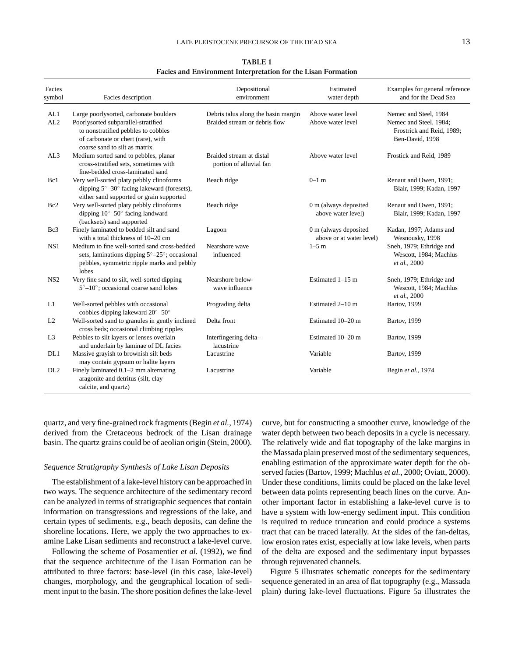#### LATE PLEISTOCENE PRECURSOR OF THE DEAD SEA 13

**TABLE 1 Facies and Environment Interpretation for the Lisan Formation**

| Facies<br>symbol | Facies description                                                                                                                                                                          | Depositional<br>environment                                          | Estimated<br>water depth                          | Examples for general reference<br>and for the Dead Sea                                          |
|------------------|---------------------------------------------------------------------------------------------------------------------------------------------------------------------------------------------|----------------------------------------------------------------------|---------------------------------------------------|-------------------------------------------------------------------------------------------------|
| AL1<br>AL2       | Large poorlysorted, carbonate boulders<br>Poorlysorted subparallel-stratified<br>to nonstratified pebbles to cobbles<br>of carbonate or chert (rare), with<br>coarse sand to silt as matrix | Debris talus along the basin margin<br>Braided stream or debris flow | Above water level<br>Above water level            | Nemec and Steel, 1984<br>Nemec and Steel, 1984;<br>Frostrick and Reid, 1989;<br>Ben-David, 1998 |
| AL3              | Medium sorted sand to pebbles, planar<br>cross-stratified sets, sometimes with<br>fine-bedded cross-laminated sand                                                                          | Braided stream at distal<br>portion of alluvial fan                  | Above water level                                 | Frostick and Reid, 1989                                                                         |
| Bc1              | Very well-sorted platy pebbly clinoforms<br>dipping $5^{\circ}-30^{\circ}$ facing lakeward (foresets),<br>either sand supported or grain supported                                          | Beach ridge                                                          | $0-1$ m                                           | Renaut and Owen, 1991;<br>Blair, 1999; Kadan, 1997                                              |
| Bc2              | Very well-sorted platy pebbly clinoforms<br>dipping $10^{\circ} - 50^{\circ}$ facing landward<br>(backsets) sand supported                                                                  | Beach ridge                                                          | 0 m (always deposited<br>above water level)       | Renaut and Owen, 1991;<br>Blair, 1999; Kadan, 1997                                              |
| Bc3              | Finely laminated to bedded silt and sand<br>with a total thickness of 10-20 cm                                                                                                              | Lagoon                                                               | 0 m (always deposited<br>above or at water level) | Kadan, 1997; Adams and<br>Wesnousky, 1998                                                       |
| NS1              | Medium to fine well-sorted sand cross-bedded<br>sets, laminations dipping $5^{\circ} - 25^{\circ}$ ; occasional<br>pebbles, symmetric ripple marks and pebbly<br>lobes                      | Nearshore wave<br>influenced                                         | $1-5$ m                                           | Sneh, 1979; Ethridge and<br>Wescott, 1984; Machlus<br>et al., 2000                              |
| NS <sub>2</sub>  | Very fine sand to silt, well-sorted dipping<br>$5^{\circ}-10^{\circ}$ ; occasional coarse sand lobes                                                                                        | Nearshore below-<br>wave influence                                   | Estimated 1-15 m                                  | Sneh, 1979; Ethridge and<br>Wescott, 1984; Machlus<br>et al., 2000                              |
| L1               | Well-sorted pebbles with occasional<br>cobbles dipping lakeward 20°-50°                                                                                                                     | Prograding delta                                                     | Estimated 2-10 m                                  | Bartov, 1999                                                                                    |
| L2               | Well-sorted sand to granules in gently inclined<br>cross beds; occasional climbing ripples                                                                                                  | Delta front                                                          | Estimated 10–20 m                                 | <b>Bartov</b> , 1999                                                                            |
| L <sub>3</sub>   | Pebbles to silt layers or lenses overlain<br>and underlain by laminae of DL facies                                                                                                          | Interfingering delta-<br>lacustrine                                  | Estimated 10-20 m                                 | Bartov, 1999                                                                                    |
| DL1              | Massive grayish to brownish silt beds<br>may contain gypsum or halite layers                                                                                                                | Lacustrine                                                           | Variable                                          | Bartov, 1999                                                                                    |
| DL <sub>2</sub>  | Finely laminated 0.1–2 mm alternating<br>aragonite and detritus (silt, clay<br>calcite, and quartz)                                                                                         | Lacustrine                                                           | Variable                                          | Begin et al., 1974                                                                              |

quartz, and very fine-grained rock fragments (Begin *et al.*, 1974) derived from the Cretaceous bedrock of the Lisan drainage basin. The quartz grains could be of aeolian origin (Stein, 2000).

## *Sequence Stratigraphy Synthesis of Lake Lisan Deposits*

The establishment of a lake-level history can be approached in two ways. The sequence architecture of the sedimentary record can be analyzed in terms of stratigraphic sequences that contain information on transgressions and regressions of the lake, and certain types of sediments, e.g., beach deposits, can define the shoreline locations. Here, we apply the two approaches to examine Lake Lisan sediments and reconstruct a lake-level curve.

Following the scheme of Posamentier *et al.* (1992), we find that the sequence architecture of the Lisan Formation can be attributed to three factors: base-level (in this case, lake-level) changes, morphology, and the geographical location of sediment input to the basin. The shore position defines the lake-level curve, but for constructing a smoother curve, knowledge of the water depth between two beach deposits in a cycle is necessary. The relatively wide and flat topography of the lake margins in the Massada plain preserved most of the sedimentary sequences, enabling estimation of the approximate water depth for the observed facies (Bartov, 1999; Machlus *et al.*, 2000; Oviatt, 2000). Under these conditions, limits could be placed on the lake level between data points representing beach lines on the curve. Another important factor in establishing a lake-level curve is to have a system with low-energy sediment input. This condition is required to reduce truncation and could produce a systems tract that can be traced laterally. At the sides of the fan-deltas, low erosion rates exist, especially at low lake levels, when parts of the delta are exposed and the sedimentary input bypasses through rejuvenated channels.

Figure 5 illustrates schematic concepts for the sedimentary sequence generated in an area of flat topography (e.g., Massada plain) during lake-level fluctuations. Figure 5a illustrates the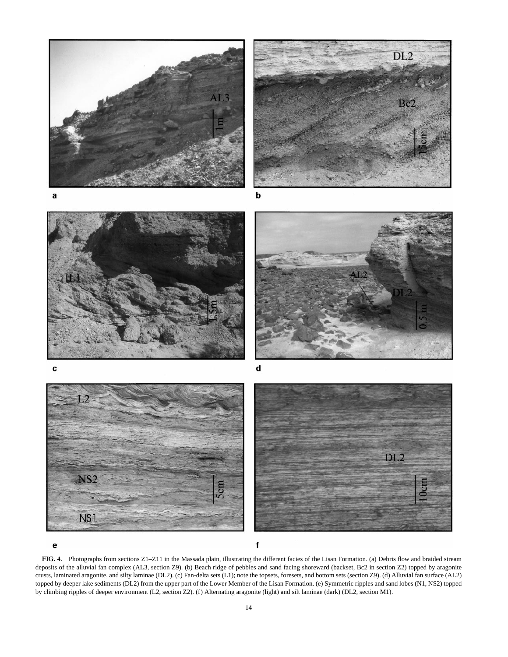



a





C



# e

**FIG. 4.** Photographs from sections Z1–Z11 in the Massada plain, illustrating the different facies of the Lisan Formation. (a) Debris flow and braided stream deposits of the alluvial fan complex (AL3, section Z9). (b) Beach ridge of pebbles and sand facing shoreward (backset, Bc2 in section Z2) topped by aragonite crusts, laminated aragonite, and silty laminae (DL2). (c) Fan-delta sets (L1); note the topsets, foresets, and bottom sets (section Z9). (d) Alluvial fan surface (AL2) topped by deeper lake sediments (DL2) from the upper part of the Lower Member of the Lisan Formation. (e) Symmetric ripples and sand lobes (N1, NS2) topped by climbing ripples of deeper environment (L2, section Z2). (f) Alternating aragonite (light) and silt laminae (dark) (DL2, section M1).

 $f$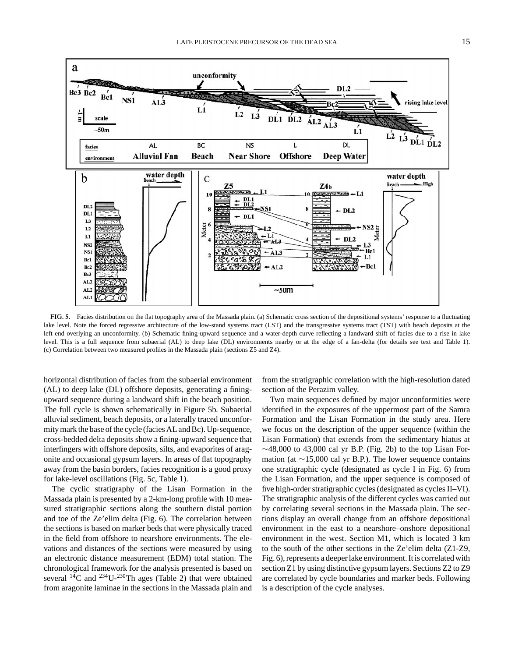

**FIG. 5.** Facies distribution on the flat topography area of the Massada plain. (a) Schematic cross section of the depositional systems' response to a fluctuating lake level. Note the forced regressive architecture of the low-stand systems tract (LST) and the transgressive systems tract (TST) with beach deposits at the left end overlying an unconformity. (b) Schematic fining-upward sequence and a water-depth curve reflecting a landward shift of facies due to a rise in lake level. This is a full sequence from subaerial (AL) to deep lake (DL) environments nearby or at the edge of a fan-delta (for details see text and Table 1). (c) Correlation between two measured profiles in the Massada plain (sections Z5 and Z4).

horizontal distribution of facies from the subaerial environment (AL) to deep lake (DL) offshore deposits, generating a finingupward sequence during a landward shift in the beach position. The full cycle is shown schematically in Figure 5b. Subaerial alluvial sediment, beach deposits, or a laterally traced unconformity mark the base of the cycle (facies AL and Bc). Up-sequence, cross-bedded delta deposits show a fining-upward sequence that interfingers with offshore deposits, silts, and evaporites of aragonite and occasional gypsum layers. In areas of flat topography away from the basin borders, facies recognition is a good proxy for lake-level oscillations (Fig. 5c, Table 1).

The cyclic stratigraphy of the Lisan Formation in the Massada plain is presented by a 2-km-long profile with 10 measured stratigraphic sections along the southern distal portion and toe of the Ze'elim delta (Fig. 6). The correlation between the sections is based on marker beds that were physically traced in the field from offshore to nearshore environments. The elevations and distances of the sections were measured by using an electronic distance measurement (EDM) total station. The chronological framework for the analysis presented is based on several  $^{14}$ C and  $^{234}$ U- $^{230}$ Th ages (Table 2) that were obtained from aragonite laminae in the sections in the Massada plain and from the stratigraphic correlation with the high-resolution dated section of the Perazim valley.

Two main sequences defined by major unconformities were identified in the exposures of the uppermost part of the Samra Formation and the Lisan Formation in the study area. Here we focus on the description of the upper sequence (within the Lisan Formation) that extends from the sedimentary hiatus at  $\sim$ 48,000 to 43,000 cal yr B.P. (Fig. 2b) to the top Lisan Formation (at ∼15,000 cal yr B.P.). The lower sequence contains one stratigraphic cycle (designated as cycle I in Fig. 6) from the Lisan Formation, and the upper sequence is composed of five high-order stratigraphic cycles (designated as cycles II–VI). The stratigraphic analysis of the different cycles was carried out by correlating several sections in the Massada plain. The sections display an overall change from an offshore depositional environment in the east to a nearshore–onshore depositional environment in the west. Section M1, which is located 3 km to the south of the other sections in the Ze'elim delta (Z1-Z9, Fig. 6), represents a deeper lake environment. It is correlated with section Z1 by using distinctive gypsum layers. Sections Z2 to Z9 are correlated by cycle boundaries and marker beds. Following is a description of the cycle analyses.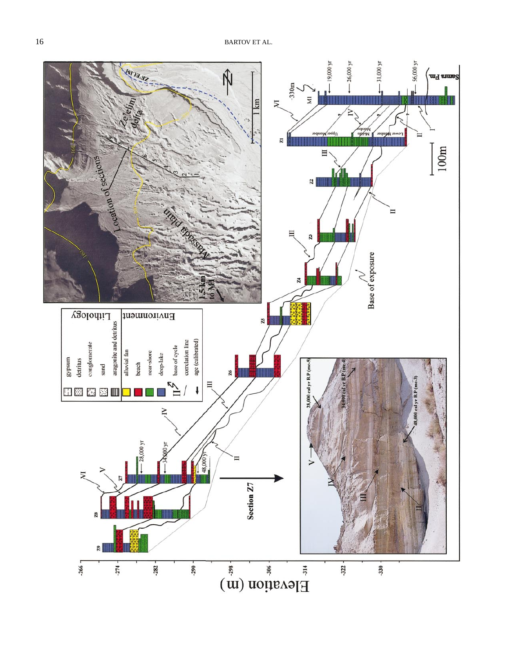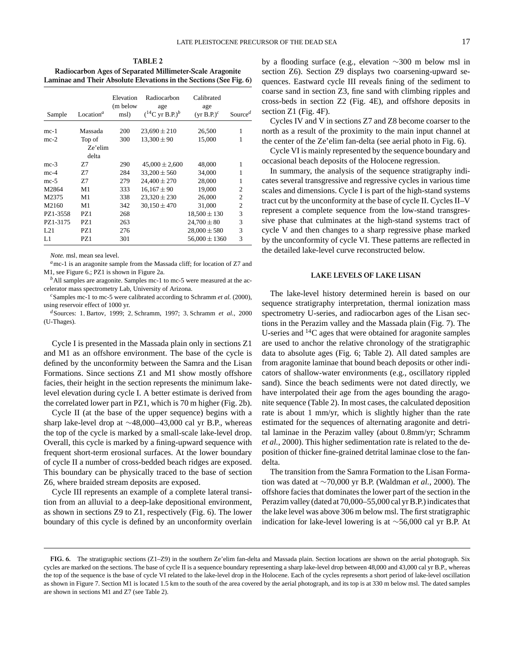| Radiocarbon Ages of Separated Millimeter-Scale Aragonite           |  |  |  |  |  |  |
|--------------------------------------------------------------------|--|--|--|--|--|--|
| Laminae and Their Absolute Elevations in the Sections (See Fig. 6) |  |  |  |  |  |  |
|                                                                    |  |  |  |  |  |  |

**TABLE 2**

| Sample   | Location <sup><math>a</math></sup> | Elevation<br>(m below)<br>msl) | Radiocarbon<br>age<br>$(^{14}C$ yr B.P.) <sup>b</sup> | Calibrated<br>age<br>$(vr B.P.)^c$ | Source <sup><math>d</math></sup> |
|----------|------------------------------------|--------------------------------|-------------------------------------------------------|------------------------------------|----------------------------------|
| $mc-1$   | Massada                            | 200                            | $23,690 \pm 210$                                      | 26,500                             | 1                                |
| $mc-2$   | Top of                             | 300                            | $13.300 \pm 90$                                       | 15,000                             | 1                                |
|          | Ze'elim<br>delta                   |                                |                                                       |                                    |                                  |
| $mc-3$   | 7.7                                | 290                            | $45,000 \pm 2,600$                                    | 48,000                             | 1                                |
| $mc-4$   | 7.7                                | 284                            | $33.200 \pm 560$                                      | 34,000                             | 1                                |
| $mc-5$   | 7.7                                | 279                            | $24.400 \pm 270$                                      | 28,000                             | 1                                |
| M2864    | M <sub>1</sub>                     | 333                            | $16.167 \pm 90$                                       | 19,000                             | $\overline{c}$                   |
| M2375    | M1                                 | 338                            | $23,320 \pm 230$                                      | 26,000                             | $\overline{c}$                   |
| M2160    | M <sub>1</sub>                     | 342                            | $30,150 \pm 470$                                      | 31,000                             | $\overline{c}$                   |
| PZ1-3558 | PZ1                                | 268                            |                                                       | $18,500 \pm 130$                   | 3                                |
| PZ1-3175 | PZ1                                | 263                            |                                                       | $24,700 \pm 80$                    | 3                                |
| L21      | PZ1                                | 276                            |                                                       | $28,000 \pm 580$                   | 3                                |
| L1       | PZ1                                | 301                            |                                                       | $56,000 \pm 1360$                  | 3                                |

*Note.* msl, mean sea level.

*<sup>a</sup>*mc-1 is an aragonite sample from the Massada cliff; for location of Z7 and M1, see Figure 6.; PZ1 is shown in Figure 2a.

<sup>*b*</sup>All samples are aragonite. Samples mc-1 to mc-5 were measured at the accelerator mass spectrometry Lab, University of Arizona.

*<sup>c</sup>*Samples mc-1 to mc-5 were calibrated according to Schramm *et al.* (2000), using reservoir effect of 1000 yr.

*<sup>d</sup>*Sources: 1, Bartov, 1999; 2, Schramm, 1997; 3, Schramm *et al.*, 2000 (U-Thages).

Cycle I is presented in the Massada plain only in sections Z1 and M1 as an offshore environment. The base of the cycle is defined by the unconformity between the Samra and the Lisan Formations. Since sections Z1 and M1 show mostly offshore facies, their height in the section represents the minimum lakelevel elevation during cycle I. A better estimate is derived from the correlated lower part in PZ1, which is 70 m higher (Fig. 2b).

Cycle II (at the base of the upper sequence) begins with a sharp lake-level drop at ∼48,000–43,000 cal yr B.P., whereas the top of the cycle is marked by a small-scale lake-level drop. Overall, this cycle is marked by a fining-upward sequence with frequent short-term erosional surfaces. At the lower boundary of cycle II a number of cross-bedded beach ridges are exposed. This boundary can be physically traced to the base of section Z6, where braided stream deposits are exposed.

Cycle III represents an example of a complete lateral transition from an alluvial to a deep-lake depositional environment, as shown in sections Z9 to Z1, respectively (Fig. 6). The lower boundary of this cycle is defined by an unconformity overlain by a flooding surface (e.g., elevation ∼300 m below msl in section Z6). Section Z9 displays two coarsening-upward sequences. Eastward cycle III reveals fining of the sediment to coarse sand in section Z3, fine sand with climbing ripples and cross-beds in section Z2 (Fig. 4E), and offshore deposits in section Z1 (Fig. 4F).

Cycles IV and V in sections Z7 and Z8 become coarser to the north as a result of the proximity to the main input channel at the center of the Ze'elim fan-delta (see aerial photo in Fig. 6).

Cycle VI is mainly represented by the sequence boundary and occasional beach deposits of the Holocene regression.

In summary, the analysis of the sequence stratigraphy indicates several transgressive and regressive cycles in various time scales and dimensions. Cycle I is part of the high-stand systems tract cut by the unconformity at the base of cycle II. Cycles II–V represent a complete sequence from the low-stand transgressive phase that culminates at the high-stand systems tract of cycle V and then changes to a sharp regressive phase marked by the unconformity of cycle VI. These patterns are reflected in the detailed lake-level curve reconstructed below.

## **LAKE LEVELS OF LAKE LISAN**

The lake-level history determined herein is based on our sequence stratigraphy interpretation, thermal ionization mass spectrometry U-series, and radiocarbon ages of the Lisan sections in the Perazim valley and the Massada plain (Fig. 7). The U-series and 14C ages that were obtained for aragonite samples are used to anchor the relative chronology of the stratigraphic data to absolute ages (Fig. 6; Table 2). All dated samples are from aragonite laminae that bound beach deposits or other indicators of shallow-water environments (e.g., oscillatory rippled sand). Since the beach sediments were not dated directly, we have interpolated their age from the ages bounding the aragonite sequence (Table 2). In most cases, the calculated deposition rate is about 1 mm/yr, which is slightly higher than the rate estimated for the sequences of alternating aragonite and detrital laminae in the Perazim valley (about 0.8mm/yr; Schramm *et al.*, 2000). This higher sedimentation rate is related to the deposition of thicker fine-grained detrital laminae close to the fandelta.

The transition from the Samra Formation to the Lisan Formation was dated at ∼70,000 yr B.P. (Waldman *et al.*, 2000). The offshore facies that dominates the lower part of the section in the Perazim valley (dated at 70,000–55,000 cal yr B.P.) indicates that the lake level was above 306 m below msl. The first stratigraphic indication for lake-level lowering is at ∼56,000 cal yr B.P. At

**FIG. 6.** The stratigraphic sections (Z1–Z9) in the southern Ze'elim fan-delta and Massada plain. Section locations are shown on the aerial photograph. Six cycles are marked on the sections. The base of cycle II is a sequence boundary representing a sharp lake-level drop between 48,000 and 43,000 cal yr B.P., whereas the top of the sequence is the base of cycle VI related to the lake-level drop in the Holocene. Each of the cycles represents a short period of lake-level oscillation as shown in Figure 7. Section M1 is located 1.5 km to the south of the area covered by the aerial photograph, and its top is at 330 m below msl. The dated samples are shown in sections M1 and Z7 (see Table 2).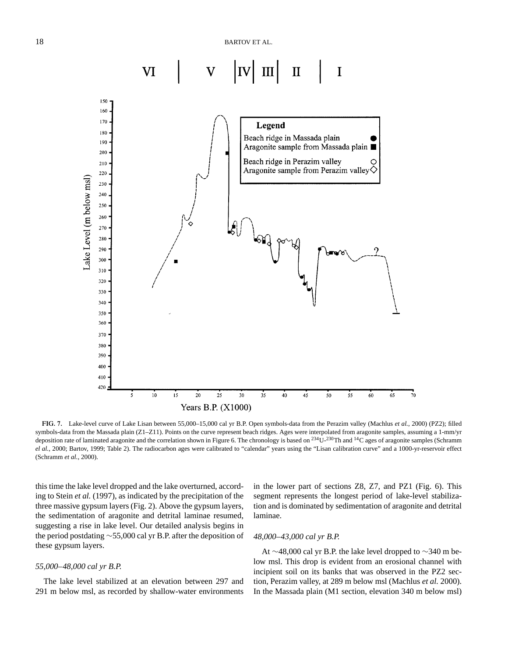$\overline{\text{VI}}$  $|_{\rm IV}$  $\mathbf{I}$  $\overline{\mathbf{I}}$ I



**FIG. 7.** Lake-level curve of Lake Lisan between 55,000–15,000 cal yr B.P. Open symbols-data from the Perazim valley (Machlus *et al.*, 2000) (PZ2); filled symbols-data from the Massada plain (Z1–Z11). Points on the curve represent beach ridges. Ages were interpolated from aragonite samples, assuming a 1-mm/yr deposition rate of laminated aragonite and the correlation shown in Figure 6. The chronology is based on  $^{234}U^{-230}Th$  and  $^{14}C$  ages of aragonite samples (Schramm *el al.*, 2000; Bartov, 1999; Table 2). The radiocarbon ages were calibrated to "calendar" years using the "Lisan calibration curve" and a 1000-yr-reservoir effect (Schramm *et al.*, 2000).

this time the lake level dropped and the lake overturned, according to Stein *et al.* (1997), as indicated by the precipitation of the three massive gypsum layers (Fig. 2). Above the gypsum layers, the sedimentation of aragonite and detrital laminae resumed, suggesting a rise in lake level. Our detailed analysis begins in the period postdating ∼55,000 cal yr B.P. after the deposition of these gypsum layers.

# *55,000–48,000 cal yr B.P.*

The lake level stabilized at an elevation between 297 and 291 m below msl, as recorded by shallow-water environments in the lower part of sections Z8, Z7, and PZ1 (Fig. 6). This segment represents the longest period of lake-level stabilization and is dominated by sedimentation of aragonite and detrital laminae.

# *48,000–43,000 cal yr B.P.*

At ∼48,000 cal yr B.P. the lake level dropped to ∼340 m below msl. This drop is evident from an erosional channel with incipient soil on its banks that was observed in the PZ2 section, Perazim valley, at 289 m below msl (Machlus *et al.* 2000). In the Massada plain (M1 section, elevation 340 m below msl)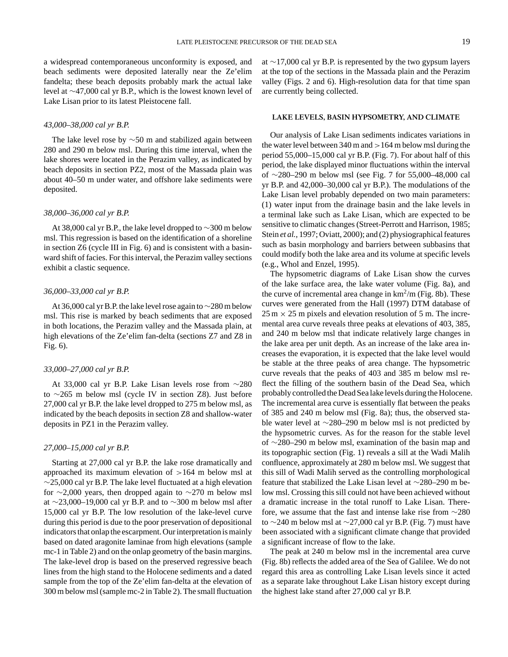a widespread contemporaneous unconformity is exposed, and beach sediments were deposited laterally near the Ze'elim fandelta; these beach deposits probably mark the actual lake level at ∼47,000 cal yr B.P., which is the lowest known level of Lake Lisan prior to its latest Pleistocene fall.

#### *43,000–38,000 cal yr B.P.*

The lake level rose by ∼50 m and stabilized again between 280 and 290 m below msl. During this time interval, when the lake shores were located in the Perazim valley, as indicated by beach deposits in section PZ2, most of the Massada plain was about 40–50 m under water, and offshore lake sediments were deposited.

### *38,000–36,000 cal yr B.P.*

At 38,000 cal yr B.P., the lake level dropped to ∼300 m below msl. This regression is based on the identification of a shoreline in section Z6 (cycle III in Fig. 6) and is consistent with a basinward shift of facies. For this interval, the Perazim valley sections exhibit a clastic sequence.

## *36,000–33,000 cal yr B.P.*

At 36,000 cal yr B.P. the lake level rose again to∼280 m below msl. This rise is marked by beach sediments that are exposed in both locations, the Perazim valley and the Massada plain, at high elevations of the Ze'elim fan-delta (sections Z7 and Z8 in Fig. 6).

### *33,000–27,000 cal yr B.P.*

At 33,000 cal yr B.P. Lake Lisan levels rose from ∼280 to ∼265 m below msl (cycle IV in section Z8). Just before 27,000 cal yr B.P. the lake level dropped to 275 m below msl, as indicated by the beach deposits in section Z8 and shallow-water deposits in PZ1 in the Perazim valley.

## *27,000–15,000 cal yr B.P.*

Starting at 27,000 cal yr B.P. the lake rose dramatically and approached its maximum elevation of >164 m below msl at  $\sim$ 25,000 cal yr B.P. The lake level fluctuated at a high elevation for ∼2,000 years, then dropped again to ∼270 m below msl at ∼23,000–19,000 cal yr B.P. and to ∼300 m below msl after 15,000 cal yr B.P. The low resolution of the lake-level curve during this period is due to the poor preservation of depositional indicators that onlap the escarpment. Our interpretation is mainly based on dated aragonite laminae from high elevations (sample mc-1 in Table 2) and on the onlap geometry of the basin margins. The lake-level drop is based on the preserved regressive beach lines from the high stand to the Holocene sediments and a dated sample from the top of the Ze'elim fan-delta at the elevation of 300 m below msl (sample mc-2 in Table 2). The small fluctuation at ∼17,000 cal yr B.P. is represented by the two gypsum layers at the top of the sections in the Massada plain and the Perazim valley (Figs. 2 and 6). High-resolution data for that time span are currently being collected.

### **LAKE LEVELS, BASIN HYPSOMETRY, AND CLIMATE**

Our analysis of Lake Lisan sediments indicates variations in the water level between  $340 \text{ m}$  and  $> 164 \text{ m}$  below msl during the period 55,000–15,000 cal yr B.P. (Fig. 7). For about half of this period, the lake displayed minor fluctuations within the interval of ∼280–290 m below msl (see Fig. 7 for 55,000–48,000 cal yr B.P. and 42,000–30,000 cal yr B.P.). The modulations of the Lake Lisan level probably depended on two main parameters: (1) water input from the drainage basin and the lake levels in a terminal lake such as Lake Lisan, which are expected to be sensitive to climatic changes (Street-Perrott and Harrison, 1985; Stein *et al.*, 1997; Oviatt, 2000); and (2) physiographical features such as basin morphology and barriers between subbasins that could modify both the lake area and its volume at specific levels (e.g., Whol and Enzel, 1995).

The hypsometric diagrams of Lake Lisan show the curves of the lake surface area, the lake water volume (Fig. 8a), and the curve of incremental area change in  $km^2/m$  (Fig. 8b). These curves were generated from the Hall (1997) DTM database of  $25 \text{ m} \times 25 \text{ m}$  pixels and elevation resolution of 5 m. The incremental area curve reveals three peaks at elevations of 403, 385, and 240 m below msl that indicate relatively large changes in the lake area per unit depth. As an increase of the lake area increases the evaporation, it is expected that the lake level would be stable at the three peaks of area change. The hypsometric curve reveals that the peaks of 403 and 385 m below msl reflect the filling of the southern basin of the Dead Sea, which probably controlled the Dead Sea lake levels during the Holocene. The incremental area curve is essentially flat between the peaks of 385 and 240 m below msl (Fig. 8a); thus, the observed stable water level at ∼280–290 m below msl is not predicted by the hypsometric curves. As for the reason for the stable level of ∼280–290 m below msl, examination of the basin map and its topographic section (Fig. 1) reveals a sill at the Wadi Malih confluence, approximately at 280 m below msl. We suggest that this sill of Wadi Malih served as the controlling morphological feature that stabilized the Lake Lisan level at ∼280–290 m below msl. Crossing this sill could not have been achieved without a dramatic increase in the total runoff to Lake Lisan. Therefore, we assume that the fast and intense lake rise from ∼280 to ∼240 m below msl at ∼27,000 cal yr B.P. (Fig. 7) must have been associated with a significant climate change that provided a significant increase of flow to the lake.

The peak at 240 m below msl in the incremental area curve (Fig. 8b) reflects the added area of the Sea of Galilee. We do not regard this area as controlling Lake Lisan levels since it acted as a separate lake throughout Lake Lisan history except during the highest lake stand after 27,000 cal yr B.P.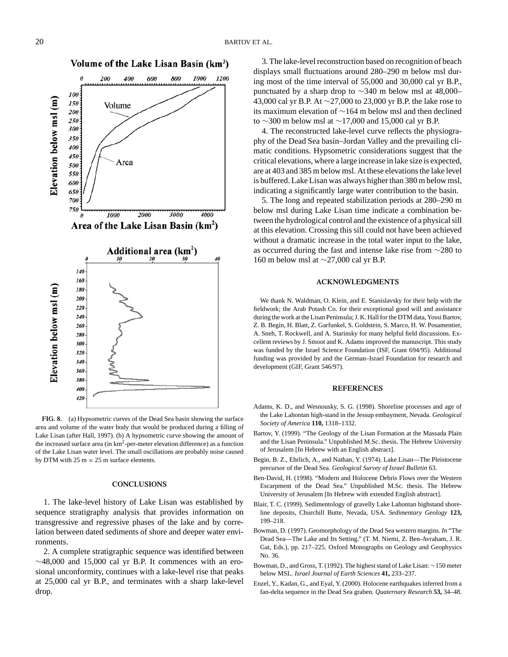

**FIG. 8.** (a) Hypsometric curves of the Dead Sea basin showing the surface area and volume of the water body that would be produced during a filling of Lake Lisan (after Hall, 1997). (b) A hypsometric curve showing the amount of the increased surface area (in  $km^2$ -per-meter elevation difference) as a function of the Lake Lisan water level. The small oscillations are probably noise caused by DTM with 25 m  $\times$  25 m surface elements.

### **CONCLUSIONS**

1. The lake-level history of Lake Lisan was established by sequence stratigraphy analysis that provides information on transgressive and regressive phases of the lake and by correlation between dated sediments of shore and deeper water environments.

2. A complete stratigraphic sequence was identified between  $~\sim$ 48,000 and 15,000 cal yr B.P. It commences with an erosional unconformity, continues with a lake-level rise that peaks at 25,000 cal yr B.P., and terminates with a sharp lake-level drop.

3. The lake-level reconstruction based on recognition of beach displays small fluctuations around 280–290 m below msl during most of the time interval of 55,000 and 30,000 cal yr B.P., punctuated by a sharp drop to ∼340 m below msl at 48,000– 43,000 cal yr B.P. At ∼27,000 to 23,000 yr B.P. the lake rose to its maximum elevation of ∼164 m below msl and then declined to ∼300 m below msl at ∼17,000 and 15,000 cal yr B.P.

4. The reconstructed lake-level curve reflects the physiography of the Dead Sea basin–Jordan Valley and the prevailing climatic conditions. Hypsometric considerations suggest that the critical elevations, where a large increase in lake size is expected, are at 403 and 385 m below msl. At these elevations the lake level is buffered. Lake Lisan was always higher than 380 m below msl, indicating a significantly large water contribution to the basin.

5. The long and repeated stabilization periods at 280–290 m below msl during Lake Lisan time indicate a combination between the hydrological control and the existence of a physical sill at this elevation. Crossing this sill could not have been achieved without a dramatic increase in the total water input to the lake, as occurred during the fast and intense lake rise from ∼280 to 160 m below msl at ∼27,000 cal yr B.P.

## **ACKNOWLEDGMENTS**

We thank N. Waldman, O. Klein, and E. Stanislavsky for their help with the fieldwork; the Arab Potash Co. for their exceptional good will and assistance during the work at the Lisan Peninsula; J. K. Hall for the DTM data, Yossi Bartov, Z. B. Begin, H. Blatt, Z. Garfunkel, S. Goldstein, S. Marco, H. W. Posamentier, A. Sneh, T. Rockwell, and A. Starinsky for many helpful field discussions. Excellent reviews by J. Smoot and K. Adams improved the manuscript. This study was funded by the Israel Science Foundation (ISF, Grant 694/95). Additional funding was provided by and the German–Israel Foundation for research and development (GIF, Grant 546/97).

#### **REFERENCES**

- Adams, K. D., and Wesnousky, S. G. (1998). Shoreline processes and age of the Lake Lahontan high-stand in the Jessup embayment, Nevada. *Geological Society of America* **110,** 1318–1332.
- Bartov, Y. (1999). "The Geology of the Lisan Formation at the Massada Plain and the Lisan Peninsula." Unpublished M.Sc. thesis. The Hebrew University of Jerusalem [In Hebrew with an English abstract].
- Begin, B. Z., Ehrlich, A., and Nathan, Y. (1974). Lake Lisan—The Pleistocene precursor of the Dead Sea. *Geological Survey of Israel Bulletin* 63.
- Ben-David, H. (1998). "Modern and Holocene Debris Flows over the Western Escarpment of the Dead Sea." Unpublished M.Sc. thesis. The Hebrew University of Jerusalem [In Hebrew with extended English abstract].
- Blair, T. C. (1999). Sedimentology of gravelly Lake Lahontan highstand shoreline deposits, Churchill Butte, Nevada, USA. *Sedimentary Geology* **123,** 199–218.
- Bowman, D. (1997). Geomorphology of the Dead Sea western margins. *In* "The Dead Sea—The Lake and Its Setting." (T. M. Niemi, Z. Ben-Avraham, J. R. Gat, Eds.), pp. 217–225. Oxford Monographs on Geology and Geophysics No. 36.
- Bowman, D., and Gross, T. (1992). The highest stand of Lake Lisan: ∼150 meter below MSL. *Israel Journal of Earth Sciences* **41,** 233–237.
- Enzel, Y., Kadan, G., and Eyal, Y. (2000). Holocene earthquakes inferred from a fan-delta sequence in the Dead Sea graben. *Quaternary Research* **53,** 34–48.